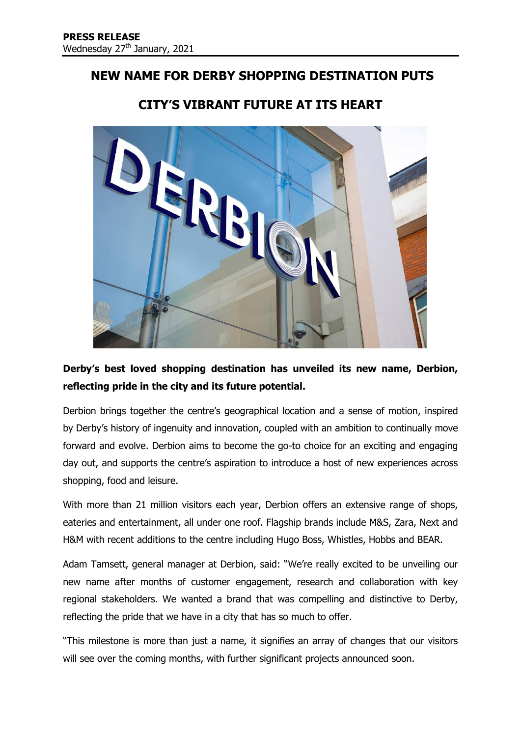## **NEW NAME FOR DERBY SHOPPING DESTINATION PUTS**



# **CITY'S VIBRANT FUTURE AT ITS HEART**

## **Derby's best loved shopping destination has unveiled its new name, Derbion, reflecting pride in the city and its future potential.**

Derbion brings together the centre's geographical location and a sense of motion, inspired by Derby's history of ingenuity and innovation, coupled with an ambition to continually move forward and evolve. Derbion aims to become the go-to choice for an exciting and engaging day out, and supports the centre's aspiration to introduce a host of new experiences across shopping, food and leisure.

With more than 21 million visitors each year, Derbion offers an extensive range of shops, eateries and entertainment, all under one roof. Flagship brands include M&S, Zara, Next and H&M with recent additions to the centre including Hugo Boss, Whistles, Hobbs and BEAR.

Adam Tamsett, general manager at Derbion, said: "We're really excited to be unveiling our new name after months of customer engagement, research and collaboration with key regional stakeholders. We wanted a brand that was compelling and distinctive to Derby, reflecting the pride that we have in a city that has so much to offer.

"This milestone is more than just a name, it signifies an array of changes that our visitors will see over the coming months, with further significant projects announced soon.